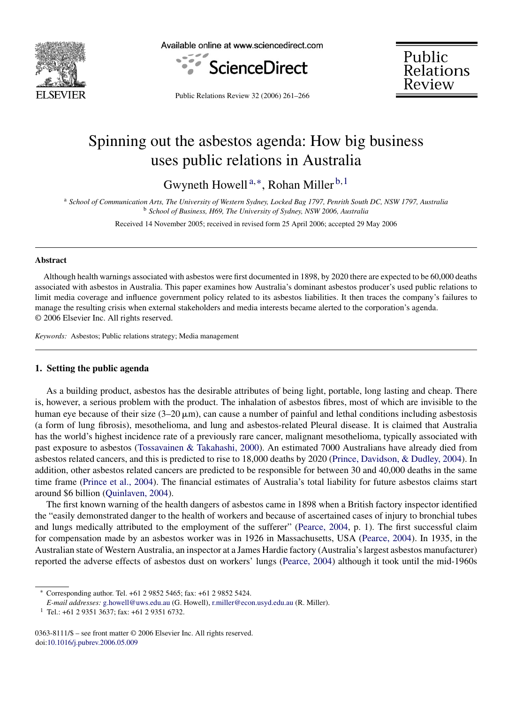

Available online at www.sciencedirect.com



Public<br>Relations Review

Public Relations Review 32 (2006) 261–266

# Spinning out the asbestos agenda: How big business uses public relations in Australia

Gwyneth Howell<sup>a,\*</sup>, Rohan Miller<sup>b,1</sup>

<sup>a</sup> *School of Communication Arts, The University of Western Sydney, Locked Bag 1797, Penrith South DC, NSW 1797, Australia* <sup>b</sup> *School of Business, H69, The University of Sydney, NSW 2006, Australia*

Received 14 November 2005; received in revised form 25 April 2006; accepted 29 May 2006

#### **Abstract**

Although health warnings associated with asbestos were first documented in 1898, by 2020 there are expected to be 60,000 deaths associated with asbestos in Australia. This paper examines how Australia's dominant asbestos producer's used public relations to limit media coverage and influence government policy related to its asbestos liabilities. It then traces the company's failures to manage the resulting crisis when external stakeholders and media interests became alerted to the corporation's agenda. © 2006 Elsevier Inc. All rights reserved.

*Keywords:* Asbestos; Public relations strategy; Media management

### **1. Setting the public agenda**

As a building product, asbestos has the desirable attributes of being light, portable, long lasting and cheap. There is, however, a serious problem with the product. The inhalation of asbestos fibres, most of which are invisible to the human eye because of their size  $(3-20 \,\mu\text{m})$ , can cause a number of painful and lethal conditions including asbestosis (a form of lung fibrosis), mesothelioma, and lung and asbestos-related Pleural disease. It is claimed that Australia has the world's highest incidence rate of a previously rare cancer, malignant mesothelioma, typically associated with past exposure to asbestos [\(Tossavainen & Takahashi, 2000\).](#page--1-0) An estimated 7000 Australians have already died from asbestos related cancers, and this is predicted to rise to 18,000 deaths by 2020 [\(Prince, Davidson, & Dudley, 2004\).](#page--1-0) In addition, other asbestos related cancers are predicted to be responsible for between 30 and 40,000 deaths in the same time frame [\(Prince et al., 2004\).](#page--1-0) The financial estimates of Australia's total liability for future asbestos claims start around \$6 billion [\(Quinlaven, 2004\).](#page--1-0)

The first known warning of the health dangers of asbestos came in 1898 when a British factory inspector identified the "easily demonstrated danger to the health of workers and because of ascertained cases of injury to bronchial tubes and lungs medically attributed to the employment of the sufferer" [\(Pearce, 2004,](#page--1-0) p. 1). The first successful claim for compensation made by an asbestos worker was in 1926 in Massachusetts, USA ([Pearce, 2004\).](#page--1-0) In 1935, in the Australian state of Western Australia, an inspector at a James Hardie factory (Australia's largest asbestos manufacturer) reported the adverse effects of asbestos dust on workers' lungs [\(Pearce, 2004\)](#page--1-0) although it took until the mid-1960s

<sup>∗</sup> Corresponding author. Tel. +61 2 9852 5465; fax: +61 2 9852 5424.

*E-mail addresses:* [g.howell@uws.edu.au](mailto:g.howell@uws.edu.au) (G. Howell), [r.miller@econ.usyd.edu.au](mailto:r.miller@econ.usyd.edu.au) (R. Miller).

<sup>1</sup> Tel.: +61 2 9351 3637; fax: +61 2 9351 6732.

<sup>0363-8111/\$ –</sup> see front matter © 2006 Elsevier Inc. All rights reserved. doi:[10.1016/j.pubrev.2006.05.009](dx.doi.org/10.1016/j.pubrev.2006.05.009)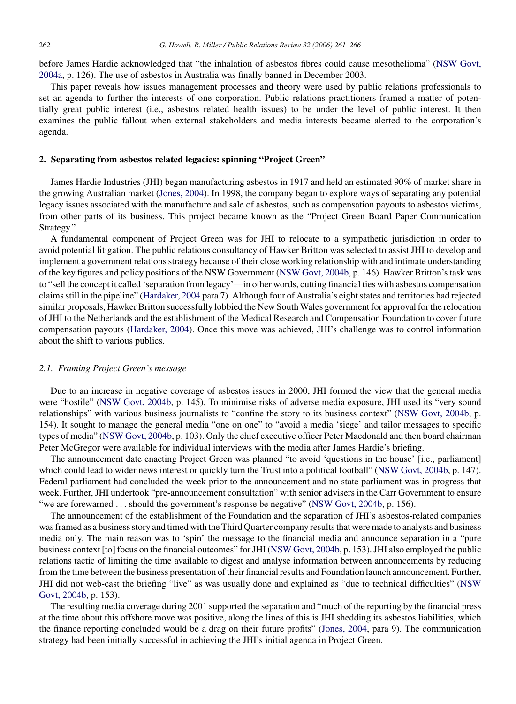before James Hardie acknowledged that "the inhalation of asbestos fibres could cause mesothelioma" ([NSW Govt,](#page--1-0) [2004a, p](#page--1-0). 126). The use of asbestos in Australia was finally banned in December 2003.

This paper reveals how issues management processes and theory were used by public relations professionals to set an agenda to further the interests of one corporation. Public relations practitioners framed a matter of potentially great public interest (i.e., asbestos related health issues) to be under the level of public interest. It then examines the public fallout when external stakeholders and media interests became alerted to the corporation's agenda.

### **2. Separating from asbestos related legacies: spinning "Project Green"**

James Hardie Industries (JHI) began manufacturing asbestos in 1917 and held an estimated 90% of market share in the growing Australian market [\(Jones, 2004\).](#page--1-0) In 1998, the company began to explore ways of separating any potential legacy issues associated with the manufacture and sale of asbestos, such as compensation payouts to asbestos victims, from other parts of its business. This project became known as the "Project Green Board Paper Communication Strategy."

A fundamental component of Project Green was for JHI to relocate to a sympathetic jurisdiction in order to avoid potential litigation. The public relations consultancy of Hawker Britton was selected to assist JHI to develop and implement a government relations strategy because of their close working relationship with and intimate understanding of the key figures and policy positions of the NSW Government ([NSW Govt, 2004b, p](#page--1-0). 146). Hawker Britton's task was to "sell the concept it called 'separation from legacy'—in other words, cutting financial ties with asbestos compensation claims still in the pipeline" ([Hardaker, 2004](#page--1-0) para 7). Although four of Australia's eight states and territories had rejected similar proposals, Hawker Britton successfully lobbied the New South Wales government for approval for the relocation of JHI to the Netherlands and the establishment of the Medical Research and Compensation Foundation to cover future compensation payouts [\(Hardaker, 2004\).](#page--1-0) Once this move was achieved, JHI's challenge was to control information about the shift to various publics.

#### *2.1. Framing Project Green's message*

Due to an increase in negative coverage of asbestos issues in 2000, JHI formed the view that the general media were "hostile" [\(NSW Govt, 2004b,](#page--1-0) p. 145). To minimise risks of adverse media exposure, JHI used its "very sound relationships" with various business journalists to "confine the story to its business context" [\(NSW Govt, 2004b,](#page--1-0) p. 154). It sought to manage the general media "one on one" to "avoid a media 'siege' and tailor messages to specific types of media" [\(NSW Govt, 2004b, p](#page--1-0). 103). Only the chief executive officer Peter Macdonald and then board chairman Peter McGregor were available for individual interviews with the media after James Hardie's briefing.

The announcement date enacting Project Green was planned "to avoid 'questions in the house' [i.e., parliament] which could lead to wider news interest or quickly turn the Trust into a political football" ([NSW Govt, 2004b,](#page--1-0) p. 147). Federal parliament had concluded the week prior to the announcement and no state parliament was in progress that week. Further, JHI undertook "pre-announcement consultation" with senior advisers in the Carr Government to ensure "we are forewarned ... should the government's response be negative" ([NSW Govt, 2004b,](#page--1-0) p. 156).

The announcement of the establishment of the Foundation and the separation of JHI's asbestos-related companies was framed as a business story and timed with the Third Quarter company results that were made to analysts and business media only. The main reason was to 'spin' the message to the financial media and announce separation in a "pure business context [to] focus on the financial outcomes" for JHI [\(NSW Govt, 2004b, p](#page--1-0). 153). JHI also employed the public relations tactic of limiting the time available to digest and analyse information between announcements by reducing from the time between the business presentation of their financial results and Foundation launch announcement. Further, JHI did not web-cast the briefing "live" as was usually done and explained as "due to technical difficulties" [\(NSW](#page--1-0) [Govt, 2004b, p](#page--1-0). 153).

The resulting media coverage during 2001 supported the separation and "much of the reporting by the financial press at the time about this offshore move was positive, along the lines of this is JHI shedding its asbestos liabilities, which the finance reporting concluded would be a drag on their future profits" [\(Jones, 2004,](#page--1-0) para 9). The communication strategy had been initially successful in achieving the JHI's initial agenda in Project Green.